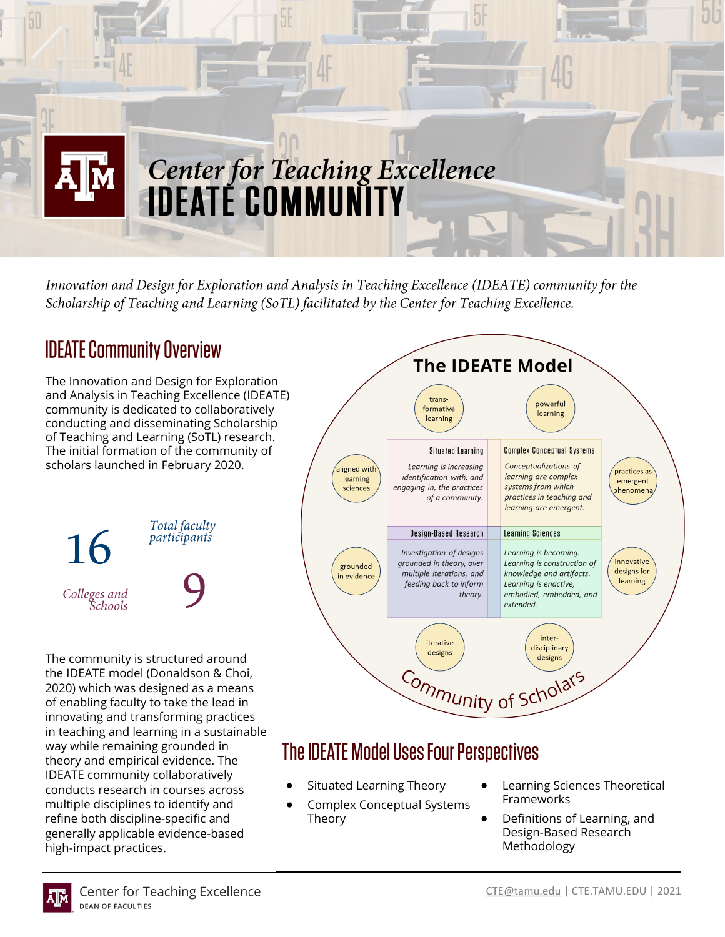

Innovation and Design for Exploration and Analysis in Teaching Excellence (IDEATE) community for the Scholarship of Teaching and Learning (SoTL) facilitated by the Center for Teaching Excellence.

# **IDEATE Community Overview**

The Innovation and Design for Exploration and Analysis in Teaching Excellence (IDEATE) community is dedicated to collaboratively conducting and disseminating Scholarship of Teaching and Learning (SoTL) research. The initial formation of the community of scholars launched in February 2020.



The community is structured around the IDEATE model (Donaldson & Choi, 2020) which was designed as a means of enabling faculty to take the lead in innovating and transforming practices in teaching and learning in a sustainable way while remaining grounded in theory and empirical evidence. The IDEATE community collaboratively conducts research in courses across multiple disciplines to identify and refine both discipline-specific and generally applicable evidence-based high-impact practices.



# The IDEATE Model Uses Four Perspectives

- Situated Learning Theory
- Complex Conceptual Systems Theory
- Learning Sciences Theoretical Frameworks
- Definitions of Learning, and Design-Based Research Methodology